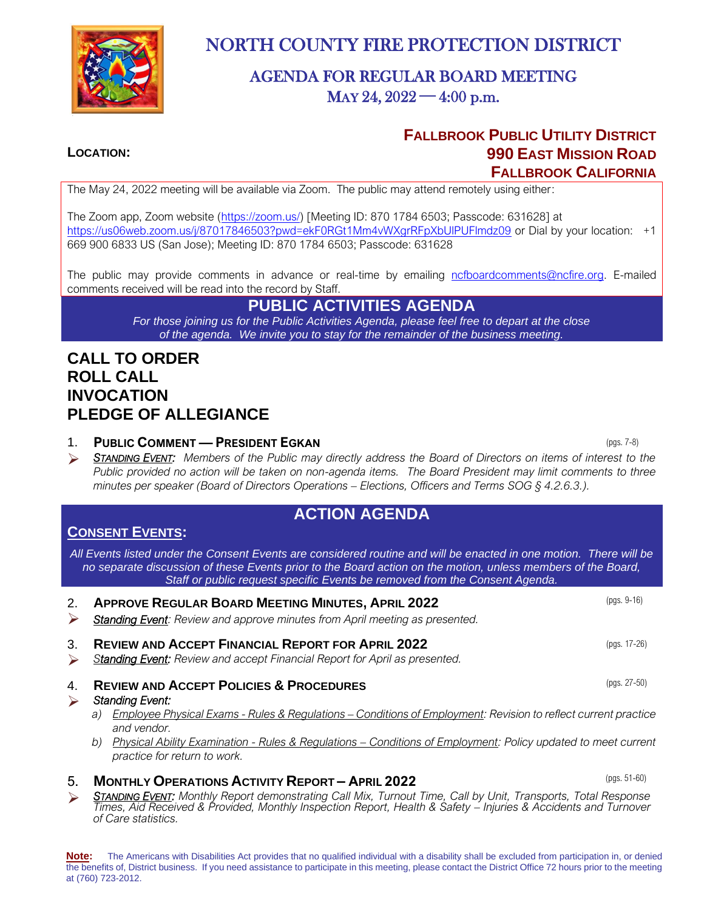

# NORTH COUNTY FIRE PROTECTION DISTRICT

# AGENDA FOR REGULAR BOARD MEETING MAY 24,  $2022 - 4:00$  p.m.

## **FALLBROOK PUBLIC UTILITY DISTRICT LOCATION: 990 EAST MISSION ROAD FALLBROOK CALIFORNIA**

The May 24, 2022 meeting will be available via Zoom. The public may attend remotely using either:

The Zoom app, Zoom website [\(https://zoom.us/\)](https://zoom.us/) [Meeting ID: 870 1784 6503; Passcode: 631628] at <https://us06web.zoom.us/j/87017846503?pwd=ekF0RGt1Mm4vWXgrRFpXbUlPUFlmdz09> or Dial by your location: +1 669 900 6833 US (San Jose); Meeting ID: 870 1784 6503; Passcode: 631628

The public may provide comments in advance or real-time by emailing [ncfboardcomments@ncfire.org.](mailto:ncfboardcomments@ncfire.org) E-mailed comments received will be read into the record by Staff.

## **PUBLIC ACTIVITIES AGENDA**

*For those joining us for the Public Activities Agenda, please feel free to depart at the close of the agenda. We invite you to stay for the remainder of the business meeting.*

## **CALL TO ORDER ROLL CALL INVOCATION PLEDGE OF ALLEGIANCE**

1. **PUBLIC COMMENT — PRESIDENT EGKAN** (pgs. 7-8)

➢ *STANDING EVENT: Members of the Public may directly address the Board of Directors on items of interest to the Public provided no action will be taken on non-agenda items. The Board President may limit comments to three minutes per speaker (Board of Directors Operations – Elections, Officers and Terms SOG § 4.2.6.3.).*

## **ACTION AGENDA**

## **CONSENT EVENTS:**

*All Events listed under the Consent Events are considered routine and will be enacted in one motion. There will be no separate discussion of these Events prior to the Board action on the motion, unless members of the Board, Staff or public request specific Events be removed from the Consent Agenda.*

- 2. **APPROVE REGULAR BOARD MEETING MINUTES, APRIL 2022** (pgs. 9-16)
- ➢ *Standing Event: Review and approve minutes from April meeting as presented.*
- 3. **REVIEW AND ACCEPT FINANCIAL REPORT FOR APRIL 2022** (pgs. 17-26)
- ➢ *Standing Event: Review and accept Financial Report for April as presented.*
- 4. **REVIEW AND ACCEPT POLICIES & PROCEDURES** (pgs. 27-50)
- ➢ *Standing Event:* 
	- *a) Employee Physical Exams - Rules & Regulations – Conditions of Employment: Revision to reflect current practice and vendor.*
	- *b) Physical Ability Examination - Rules & Regulations – Conditions of Employment: Policy updated to meet current practice for return to work.*

#### 5. **MONTHLY OPERATIONS ACTIVITY REPORT – APRIL 2022** (pgs. 51-60)

STANDING EVENT: Monthly Report demonstrating Call Mix, Turnout Time, Call by Unit, Transports, Total Response<br>Times, Aid Received & Provided, Monthly Inspection Report, Health & Safety – Injuries & Accidents and Turnover *of Care statistics.* 

**Note:** The Americans with Disabilities Act provides that no qualified individual with a disability shall be excluded from participation in, or denied the benefits of, District business. If you need assistance to participate in this meeting, please contact the District Office 72 hours prior to the meeting at (760) 723-2012.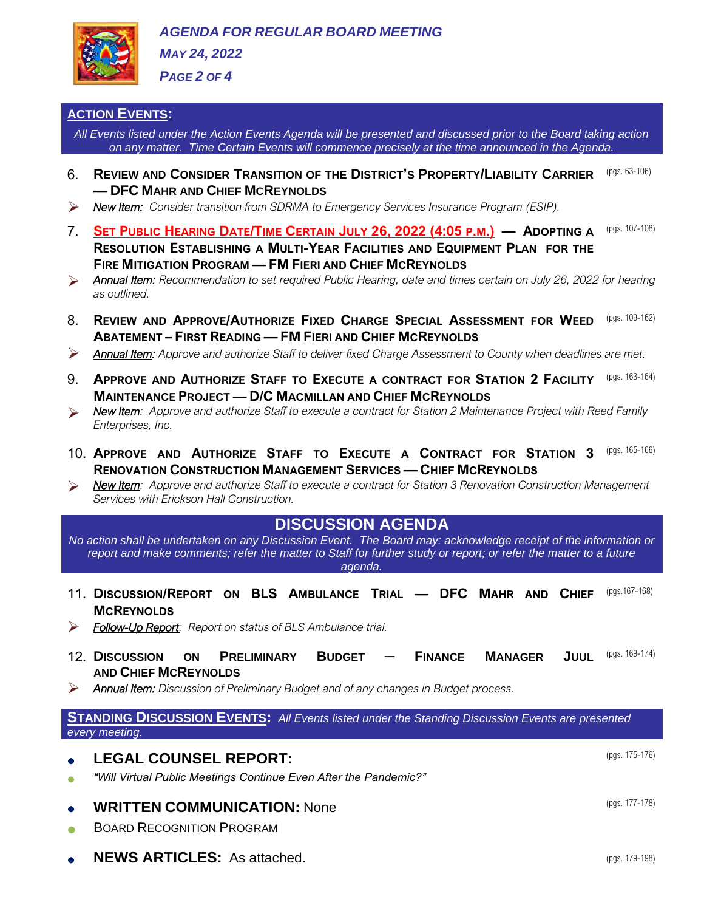

*MAY 24, 2022*

*PAGE 2 OF 4*

#### **ACTION EVENTS:**

*All Events listed under the Action Events Agenda will be presented and discussed prior to the Board taking action on any matter. Time Certain Events will commence precisely at the time announced in the Agenda.*

- 6. **REVIEW AND CONSIDER TRANSITION OF THE DISTRICT'S PROPERTY/LIABILITY CARRIER** (pgs. 63-106) **— DFC MAHR AND CHIEF MCREYNOLDS**
- ➢ *New Item: Consider transition from SDRMA to Emergency Services Insurance Program (ESIP).*
- 7. SET PUBLIC HEARING DATE/TIME CERTAIN JULY 26, 2022 (4:05 P.M.) ADOPTING A (pgs. 107-108) **RESOLUTION ESTABLISHING A MULTI-YEAR FACILITIES AND EQUIPMENT PLAN FOR THE FIRE MITIGATION PROGRAM — FM FIERI AND CHIEF MCREYNOLDS**
- ➢ *Annual Item: Recommendation to set required Public Hearing, date and times certain on July 26, 2022 for hearing as outlined.*
- 8. **REVIEW AND APPROVE/AUTHORIZE FIXED CHARGE SPECIAL ASSESSMENT FOR WEED**  (pgs. 109-162) **ABATEMENT – FIRST READING — FM FIERI AND CHIEF MCREYNOLDS**
- ➢ *Annual Item: Approve and authorize Staff to deliver fixed Charge Assessment to County when deadlines are met.*
- 9. **APPROVE AND AUTHORIZE STAFF TO EXECUTE A CONTRACT FOR STATION 2 FACILITY**  (pgs. 163-164) **MAINTENANCE PROJECT — D/C MACMILLAN AND CHIEF MCREYNOLDS**
- ➢ *New Item: Approve and authorize Staff to execute a contract for Station 2 Maintenance Project with Reed Family Enterprises, Inc.*
- 10. **APPROVE AND AUTHORIZE STAFF TO EXECUTE A CONTRACT FOR STATION 3 RENOVATION CONSTRUCTION MANAGEMENT SERVICES — CHIEF MCREYNOLDS**  (pgs. 165-166)
- ➢ *New Item: Approve and authorize Staff to execute a contract for Station 3 Renovation Construction Management Services with Erickson Hall Construction.*

## **DISCUSSION AGENDA**

*No action shall be undertaken on any Discussion Event. The Board may: acknowledge receipt of the information or*  report and make comments; refer the matter to Staff for further study or report; or refer the matter to a future *agenda.*

- 11. **DISCUSSION/REPORT ON BLS AMBULANCE TRIAL — DFC MAHR AND CHIEF**  (pgs.167-168) **MCREYNOLDS**
- ➢ *Follow-Up Report: Report on status of BLS Ambulance trial.*
- 12. **DISCUSSION ON PRELIMINARY BUDGET ─ FINANCE MANAGER JUUL AND CHIEF MCREYNOLDS JUUL** (pgs. 169-174)
- ➢ *Annual Item: Discussion of Preliminary Budget and of any changes in Budget process.*

**STANDING DISCUSSION EVENTS:** *All Events listed under the Standing Discussion Events are presented every meeting.*

| $\bullet$              | $\bullet$ LEGAL COUNSEL REPORT:<br>"Will Virtual Public Meetings Continue Even After the Pandemic?" | (pgs. 175-176) |
|------------------------|-----------------------------------------------------------------------------------------------------|----------------|
| $\bullet$<br>$\bullet$ | <b>WRITTEN COMMUNICATION: None</b><br><b>BOARD RECOGNITION PROGRAM</b>                              | (pgs. 177-178) |
|                        | • NEWS ARTICLES: As attached.                                                                       | (pgs. 179-198) |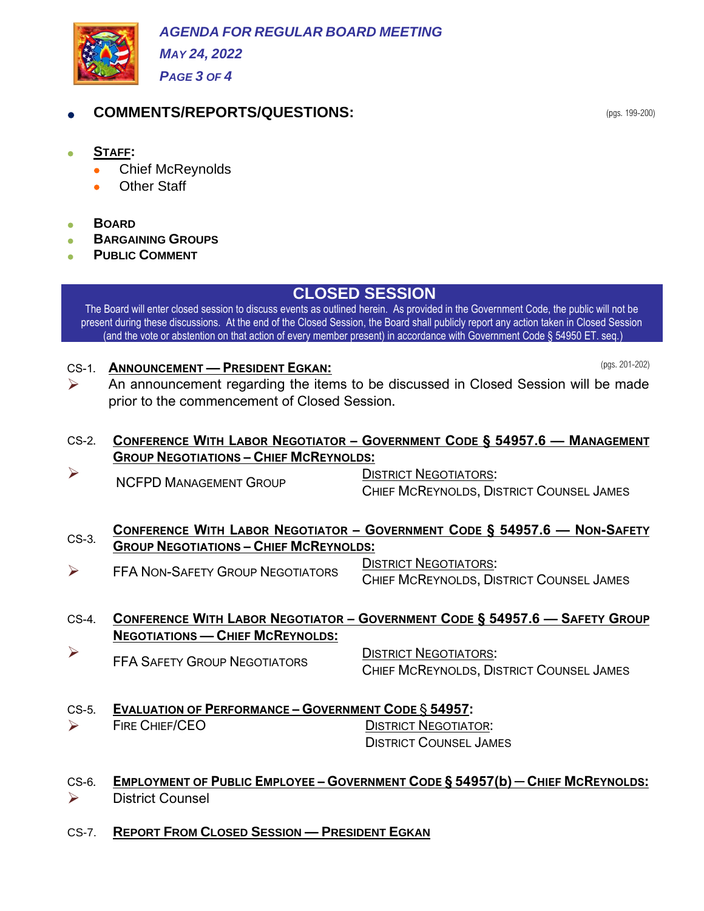

*PAGE 3 OF 4*

## • **COMMENTS/REPORTS/QUESTIONS:** (pgs. 199-200)

(pgs. 201-202)

- **STAFF:**
	- Chief McReynolds
	- **Other Staff**
- **BOARD**
- **BARGAINING GROUPS**
- **PUBLIC COMMENT**

# **CLOSED SESSION**

The Board will enter closed session to discuss events as outlined herein. As provided in the Government Code, the public will not be present during these discussions. At the end of the Closed Session, the Board shall publicly report any action taken in Closed Session (and the vote or abstention on that action of every member present) in accordance with Government Code § 54950 ET. seq.)

## CS-1. **ANNOUNCEMENT — PRESIDENT EGKAN:**

- $\triangleright$  An announcement regarding the items to be discussed in Closed Session will be made prior to the commencement of Closed Session.
- CS-2. **CONFERENCE WITH LABOR NEGOTIATOR – GOVERNMENT CODE § 54957.6 — MANAGEMENT GROUP NEGOTIATIONS – CHIEF MCREYNOLDS:**
- ➢ NCFPD <sup>M</sup>ANAGEMENT GROUP

DISTRICT NEGOTIATORS: CHIEF MCREYNOLDS, DISTRICT COUNSEL JAMES

- CS-3. **CONFERENCE WITH LABOR NEGOTIATOR – GOVERNMENT CODE § 54957.6 — NON-SAFETY GROUP NEGOTIATIONS – CHIEF MCREYNOLDS:**
- ➢ FFA NON-SAFETY GROUP NEGOTIATORS DISTRICT NEGOTIATORS: CHIEF MCREYNOLDS, DISTRICT COUNSEL JAMES

## CS-4. **CONFERENCE WITH LABOR NEGOTIATOR – GOVERNMENT CODE § 54957.6 — SAFETY GROUP NEGOTIATIONS — CHIEF MCREYNOLDS:**

➢ FFA <sup>S</sup>AFETY GROUP NEGOTIATORS DISTRICT NEGOTIATORS: CHIEF MCREYNOLDS, DISTRICT COUNSEL JAMES

## CS-5. **EVALUATION OF PERFORMANCE – GOVERNMENT CODE** § **54957:**

 $\triangleright$  FIRE CHIEF/CEO DISTRICT NEGOTIATOR: DISTRICT COUNSEL JAMES

## CS-6. EMPLOYMENT OF PUBLIC EMPLOYEE - GOVERNMENT CODE § 54957(b) - CHIEF MCREYNOLDS: ➢ District Counsel

CS-7. **REPORT FROM CLOSED SESSION — PRESIDENT EGKAN**